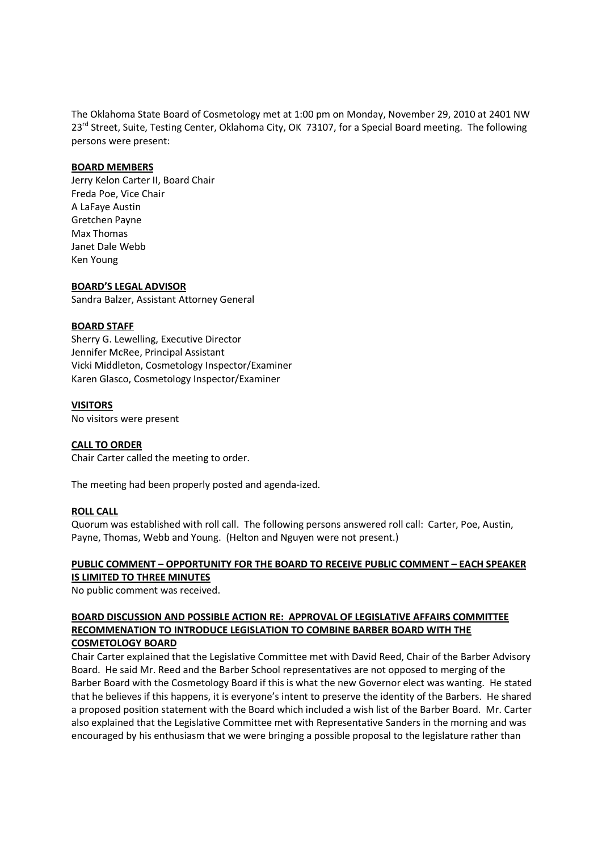The Oklahoma State Board of Cosmetology met at 1:00 pm on Monday, November 29, 2010 at 2401 NW 23<sup>rd</sup> Street, Suite, Testing Center, Oklahoma City, OK 73107, for a Special Board meeting. The following persons were present:

## **BOARD MEMBERS**

Jerry Kelon Carter II, Board Chair Freda Poe, Vice Chair A LaFaye Austin Gretchen Payne Max Thomas Janet Dale Webb Ken Young

## **BOARD'S LEGAL ADVISOR**

Sandra Balzer, Assistant Attorney General

## **BOARD STAFF**

Sherry G. Lewelling, Executive Director Jennifer McRee, Principal Assistant Vicki Middleton, Cosmetology Inspector/Examiner Karen Glasco, Cosmetology Inspector/Examiner

## **VISITORS**

No visitors were present

## **CALL TO ORDER**

Chair Carter called the meeting to order.

The meeting had been properly posted and agenda-ized.

#### **ROLL CALL**

Quorum was established with roll call. The following persons answered roll call: Carter, Poe, Austin, Payne, Thomas, Webb and Young. (Helton and Nguyen were not present.)

# **PUBLIC COMMENT – OPPORTUNITY FOR THE BOARD TO RECEIVE PUBLIC COMMENT – EACH SPEAKER IS LIMITED TO THREE MINUTES**

No public comment was received.

# **BOARD DISCUSSION AND POSSIBLE ACTION RE: APPROVAL OF LEGISLATIVE AFFAIRS COMMITTEE RECOMMENATION TO INTRODUCE LEGISLATION TO COMBINE BARBER BOARD WITH THE COSMETOLOGY BOARD**

Chair Carter explained that the Legislative Committee met with David Reed, Chair of the Barber Advisory Board. He said Mr. Reed and the Barber School representatives are not opposed to merging of the Barber Board with the Cosmetology Board if this is what the new Governor elect was wanting. He stated that he believes if this happens, it is everyone's intent to preserve the identity of the Barbers. He shared a proposed position statement with the Board which included a wish list of the Barber Board. Mr. Carter also explained that the Legislative Committee met with Representative Sanders in the morning and was encouraged by his enthusiasm that we were bringing a possible proposal to the legislature rather than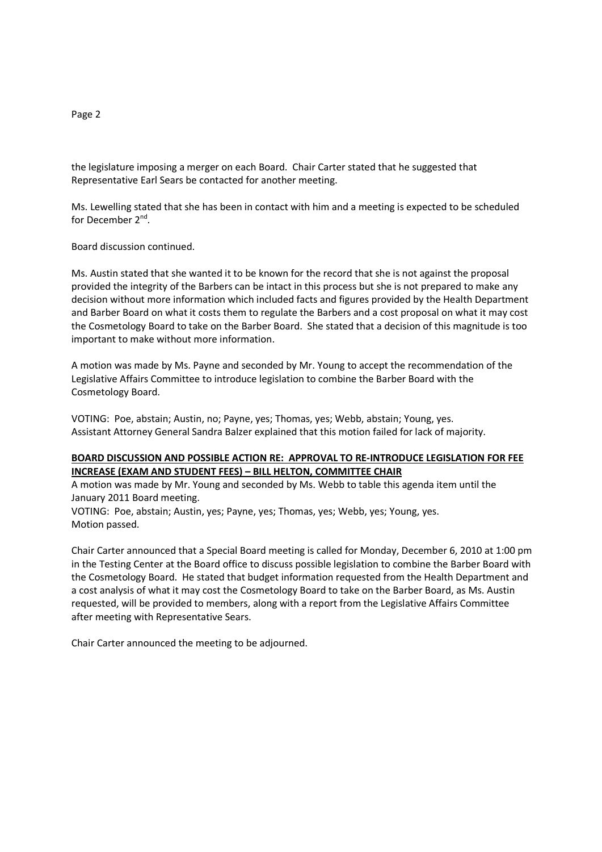# the legislature imposing a merger on each Board. Chair Carter stated that he suggested that Representative Earl Sears be contacted for another meeting.

Ms. Lewelling stated that she has been in contact with him and a meeting is expected to be scheduled for December 2<sup>nd</sup>.

Board discussion continued.

Ms. Austin stated that she wanted it to be known for the record that she is not against the proposal provided the integrity of the Barbers can be intact in this process but she is not prepared to make any decision without more information which included facts and figures provided by the Health Department and Barber Board on what it costs them to regulate the Barbers and a cost proposal on what it may cost the Cosmetology Board to take on the Barber Board. She stated that a decision of this magnitude is too important to make without more information.

A motion was made by Ms. Payne and seconded by Mr. Young to accept the recommendation of the Legislative Affairs Committee to introduce legislation to combine the Barber Board with the Cosmetology Board.

VOTING: Poe, abstain; Austin, no; Payne, yes; Thomas, yes; Webb, abstain; Young, yes. Assistant Attorney General Sandra Balzer explained that this motion failed for lack of majority.

## **BOARD DISCUSSION AND POSSIBLE ACTION RE: APPROVAL TO RE-INTRODUCE LEGISLATION FOR FEE INCREASE (EXAM AND STUDENT FEES) – BILL HELTON, COMMITTEE CHAIR**

A motion was made by Mr. Young and seconded by Ms. Webb to table this agenda item until the January 2011 Board meeting.

VOTING: Poe, abstain; Austin, yes; Payne, yes; Thomas, yes; Webb, yes; Young, yes. Motion passed.

Chair Carter announced that a Special Board meeting is called for Monday, December 6, 2010 at 1:00 pm in the Testing Center at the Board office to discuss possible legislation to combine the Barber Board with the Cosmetology Board. He stated that budget information requested from the Health Department and a cost analysis of what it may cost the Cosmetology Board to take on the Barber Board, as Ms. Austin requested, will be provided to members, along with a report from the Legislative Affairs Committee after meeting with Representative Sears.

Chair Carter announced the meeting to be adjourned.

#### Page 2